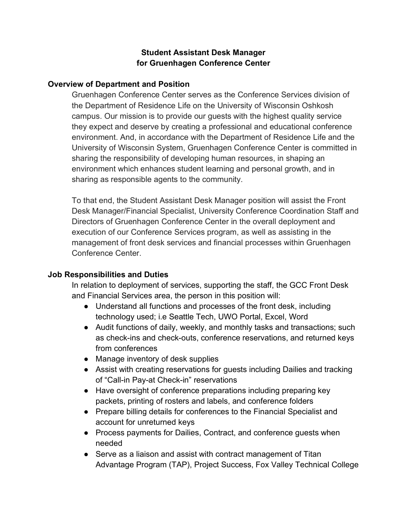## **Student Assistant Desk Manager for Gruenhagen Conference Center**

#### **Overview of Department and Position**

Gruenhagen Conference Center serves as the Conference Services division of the Department of Residence Life on the University of Wisconsin Oshkosh campus. Our mission is to provide our guests with the highest quality service they expect and deserve by creating a professional and educational conference environment. And, in accordance with the Department of Residence Life and the University of Wisconsin System, Gruenhagen Conference Center is committed in sharing the responsibility of developing human resources, in shaping an environment which enhances student learning and personal growth, and in sharing as responsible agents to the community.

To that end, the Student Assistant Desk Manager position will assist the Front Desk Manager/Financial Specialist, University Conference Coordination Staff and Directors of Gruenhagen Conference Center in the overall deployment and execution of our Conference Services program, as well as assisting in the management of front desk services and financial processes within Gruenhagen Conference Center.

#### **Job Responsibilities and Duties**

In relation to deployment of services, supporting the staff, the GCC Front Desk and Financial Services area, the person in this position will:

- Understand all functions and processes of the front desk, including technology used; i.e Seattle Tech, UWO Portal, Excel, Word
- Audit functions of daily, weekly, and monthly tasks and transactions; such as check-ins and check-outs, conference reservations, and returned keys from conferences
- Manage inventory of desk supplies
- Assist with creating reservations for guests including Dailies and tracking of "Call-in Pay-at Check-in" reservations
- Have oversight of conference preparations including preparing key packets, printing of rosters and labels, and conference folders
- Prepare billing details for conferences to the Financial Specialist and account for unreturned keys
- Process payments for Dailies, Contract, and conference guests when needed
- Serve as a liaison and assist with contract management of Titan Advantage Program (TAP), Project Success, Fox Valley Technical College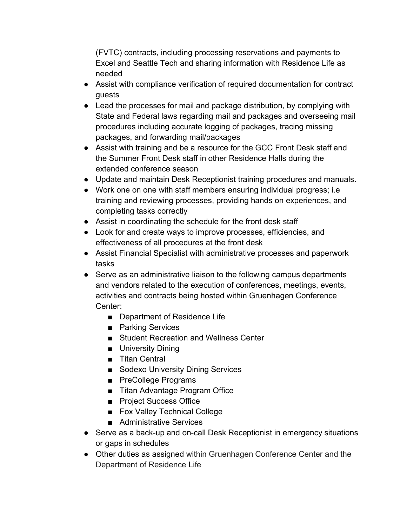(FVTC) contracts, including processing reservations and payments to Excel and Seattle Tech and sharing information with Residence Life as needed

- Assist with compliance verification of required documentation for contract guests
- Lead the processes for mail and package distribution, by complying with State and Federal laws regarding mail and packages and overseeing mail procedures including accurate logging of packages, tracing missing packages, and forwarding mail/packages
- Assist with training and be a resource for the GCC Front Desk staff and the Summer Front Desk staff in other Residence Halls during the extended conference season
- Update and maintain Desk Receptionist training procedures and manuals.
- Work one on one with staff members ensuring individual progress; i.e training and reviewing processes, providing hands on experiences, and completing tasks correctly
- Assist in coordinating the schedule for the front desk staff
- Look for and create ways to improve processes, efficiencies, and effectiveness of all procedures at the front desk
- Assist Financial Specialist with administrative processes and paperwork tasks
- Serve as an administrative liaison to the following campus departments and vendors related to the execution of conferences, meetings, events, activities and contracts being hosted within Gruenhagen Conference Center:
	- Department of Residence Life
	- Parking Services
	- Student Recreation and Wellness Center
	- University Dining
	- Titan Central
	- Sodexo University Dining Services
	- PreCollege Programs
	- Titan Advantage Program Office
	- Project Success Office
	- Fox Valley Technical College
	- Administrative Services
- Serve as a back-up and on-call Desk Receptionist in emergency situations or gaps in schedules
- Other duties as assigned within Gruenhagen Conference Center and the Department of Residence Life